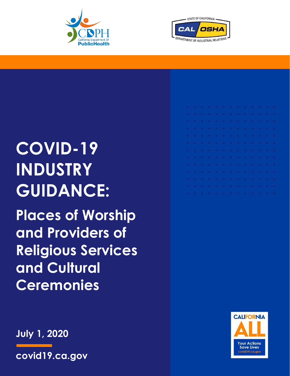



# **COVID-19 INDUSTRY GUIDANCE:**

**Places of Worship and Providers of Religious Services and Cultural Ceremonies**

**July 1, 2020**

**covid19.ca.gov**



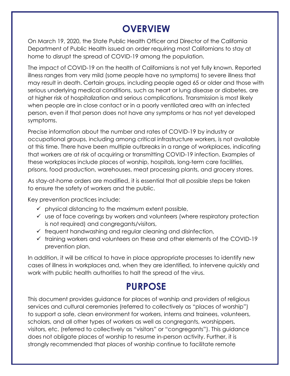# **OVERVIEW**

On March 19, 2020, the State Public Health Officer and Director of the California Department of Public Health issued an order requiring most Californians to stay at home to disrupt the spread of COVID-19 among the population.

The impact of COVID-19 on the health of Californians is not yet fully known. Reported illness ranges from very mild (some people have no symptoms) to severe illness that may result in death. Certain groups, including people aged 65 or older and those with serious underlying medical conditions, such as heart or lung disease or diabetes, are at higher risk of hospitalization and serious complications. Transmission is most likely when people are in close contact or in a poorly ventilated area with an infected person, even if that person does not have any symptoms or has not yet developed symptoms.

Precise information about the number and rates of COVID-19 by industry or occupational groups, including among critical infrastructure workers, is not available at this time. There have been multiple outbreaks in a range of workplaces, indicating that workers are at risk of acquiring or transmitting COVID-19 infection. Examples of these workplaces include places of worship, hospitals, long-term care facilities, prisons, food production, warehouses, meat processing plants, and grocery stores.

As stay-at-home orders are modified, it is essential that all possible steps be taken to ensure the safety of workers and the public.

Key prevention practices include:

- $\checkmark$  physical distancing to the maximum extent possible,
- ✓ use of face coverings by workers and volunteers (where respiratory protection is not required) and congregants/visitors,
- $\checkmark$  frequent handwashing and regular cleaning and disinfection,
- ✓ training workers and volunteers on these and other elements of the COVID-19 prevention plan.

In addition, it will be critical to have in place appropriate processes to identify new cases of illness in workplaces and, when they are identified, to intervene quickly and work with public health authorities to halt the spread of the virus.

### **PURPOSE**

This document provides guidance for places of worship and providers of religious services and cultural ceremonies (referred to collectively as "places of worship") to support a safe, clean environment for workers, interns and trainees, volunteers, scholars, and all other types of workers as well as congregants, worshippers, visitors, etc. (referred to collectively as "visitors" or "congregants"). This guidance does not obligate places of worship to resume in-person activity. Further, it is strongly recommended that places of worship continue to facilitate remote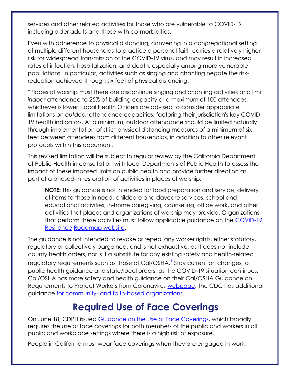services and other related activities for those who are vulnerable to COVID-19 including older adults and those with co-morbidities.

Even with adherence to physical distancing, convening in a congregational setting of multiple different households to practice a personal faith carries a relatively higher risk for widespread transmission of the COVID-19 virus, and may result in increased rates of infection, hospitalization, and death, especially among more vulnerable populations. In particular, activities such as singing and chanting negate the riskreduction achieved through six feet of physical distancing.

\*Places of worship must therefore discontinue singing and chanting activities and limit *indoor* attendance to 25% of building capacity or a maximum of 100 attendees, whichever is lower. Local Health Officers are advised to consider appropriate limitations on *outdoor* attendance capacities, factoring their jurisdiction's key COVID-19 health indicators. At a minimum, outdoor attendance should be limited naturally through implementation of strict physical distancing measures of a minimum of six feet between attendees from different households, in addition to other relevant protocols within this document.

This revised limitation will be subject to regular review by the California Department of Public Health in consultation with local Departments of Public Health to assess the impact of these imposed limits on public health and provide further direction as part of a phased-in restoration of activities in places of worship.

**NOTE:** This guidance is not intended for food preparation and service, delivery of items to those in need, childcare and daycare services, school and educational activities, in-home caregiving, counseling, office work, and other activities that places and organizations of worship may provide. Organizations that perform these activities must follow applicable guidance on the [COVID-19](https://covid19.ca.gov/roadmap/)  [Resilience](https://covid19.ca.gov/roadmap/) [Roadmap website.](https://covid19.ca.gov/roadmap/)

The guidance is not intended to revoke or repeal any worker rights, either statutory, regulatory or collectively bargained, and is not exhaustive, as it does not include county health orders, nor is it a substitute for any existing safety and health-related regulatory requirements such as those of Cal/OSHA. $^{\mathrm{l}}$  Stay current on changes to public health guidance and state/local orders, as the COVID-19 situation continues. Cal/OSHA has more safety and health guidance on their [Cal/OSHA Guidance on](https://www.dir.ca.gov/dosh/coronavirus/General-Industry.html)  [Requirements to](https://www.dir.ca.gov/dosh/coronavirus/General-Industry.html) [Protect Workers from Coronavirus webpage.](https://www.dir.ca.gov/dosh/coronavirus/General-Industry.html) The CDC has additional guidance [for](https://www.cdc.gov/coronavirus/2019-ncov/community/organizations/guidance-community-faith-organizations.html) community- [and faith-based](https://www.cdc.gov/coronavirus/2019-ncov/community/organizations/guidance-community-faith-organizations.html) organizations.

#### **Required Use of Face Coverings**

On June 18, CDPH issued [Guidance on the Use of Face Coverings,](https://www.cdph.ca.gov/Programs/CID/DCDC/CDPH%20Document%20Library/COVID-19/Guidance-for-Face-Coverings_06-18-2020.pdf) which broadly requires the use of face coverings for both members of the public and workers in all public and workplace settings where there is a high risk of exposure.

People in California must wear face coverings when they are engaged in work,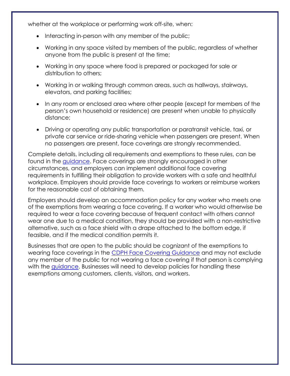whether at the workplace or performing work off-site, when:

- Interacting in-person with any member of the public;
- Working in any space visited by members of the public, regardless of whether anyone from the public is present at the time;
- Working in any space where food is prepared or packaged for sale or distribution to others;
- Working in or walking through common areas, such as hallways, stairways, elevators, and parking facilities;
- In any room or enclosed area where other people (except for members of the person's own household or residence) are present when unable to physically distance;
- Driving or operating any public transportation or paratransit vehicle, taxi, or private car service or ride-sharing vehicle when passengers are present. When no passengers are present, face coverings are strongly recommended.

Complete details, including all requirements and exemptions to these rules, can be found in the [guidance.](https://www.cdph.ca.gov/Programs/CID/DCDC/CDPH%20Document%20Library/COVID-19/Guidance-for-Face-Coverings_06-18-2020.pdf) Face coverings are strongly encouraged in other circumstances, and employers can implement additional face covering requirements in fulfilling their obligation to provide workers with a safe and healthful workplace. Employers should provide face coverings to workers or reimburse workers for the reasonable cost of obtaining them.

Employers should develop an accommodation policy for any worker who meets one of the exemptions from wearing a face covering. If a worker who would otherwise be required to wear a face covering because of frequent contact with others cannot wear one due to a medical condition, they should be provided with a non-restrictive alternative, such as a face shield with a drape attached to the bottom edge, if feasible, and if the medical condition permits it.

Businesses that are open to the public should be cognizant of the exemptions to wearing face coverings in the [CDPH Face Covering Guidance](https://www.cdph.ca.gov/Programs/CID/DCDC/CDPH%20Document%20Library/COVID-19/Guidance-for-Face-Coverings_06-18-2020.pdf) and may not exclude any member of the public for not wearing a face covering if that person is complying with the quidance. Businesses will need to develop policies for handling these exemptions among customers, clients, visitors, and workers.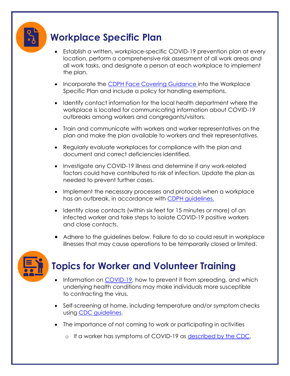# **Workplace Specific Plan**

- Establish a written, workplace-specific COVID-19 prevention plan at every location, perform a comprehensive risk assessment of all work areas and all work tasks, and designate a person at each workplace to implement the plan.
- Incorporate the [CDPH Face Covering Guidance](https://www.cdph.ca.gov/Programs/CID/DCDC/CDPH%20Document%20Library/COVID-19/Guidance-for-Face-Coverings_06-18-2020.pdf) into the Workplace Specific Plan and include a policy for handling exemptions.
- Identify contact information for the local health department where the workplace is located for communicating information about COVID-19 outbreaks among workers and congregants/visitors.
- Train and communicate with workers and worker representatives on the plan and make the plan available to workers and their representatives.
- Regularly evaluate workplaces for compliance with the plan and document and correct deficiencies identified.
- Investigate any COVID-19 illness and determine if any work-related factors could have contributed to risk of infection. Update the plan as needed to prevent further cases.
- Implement the necessary processes and protocols when a workplace has an outbreak, in accordance with [CDPH guidelines.](https://www.cdph.ca.gov/Programs/CID/DCDC/Pages/COVID-19/Workplace-Outbreak-Employer-Guidance.aspx)
- Identify close contacts (within six feet for 15 minutes or more) of an infected worker and take steps to isolate COVID-19 positive workers and close contacts.
- Adhere to the guidelines below. Failure to do so could result in workplace illnesses that may cause operations to be temporarily closed or limited.



# **Topics for Worker and Volunteer Training**

- Information on [COVID-19,](https://www.cdc.gov/coronavirus/2019-ncov/index.html) how to prevent it from spreading, and which underlying health conditions may make individuals more susceptible to contracting the virus.
- Self-screening at home, including temperature and/or symptom checks using CDC [guidelines.](https://www.cdc.gov/coronavirus/2019-ncov/symptoms-testing/symptoms.html)
- The importance of not coming to work or participating in activities
	- o If a worker has symptoms of COVID-19 as [described by the CDC,](https://www.cdc.gov/coronavirus/2019-ncov/symptoms-testing/symptoms.html)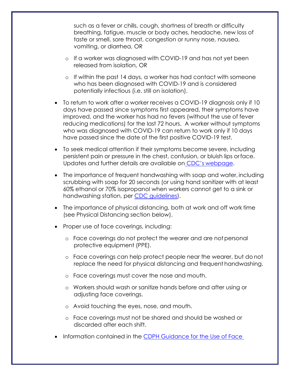such as a fever or chills, cough, shortness of breath or difficulty breathing, fatigue, muscle or body aches, headache, new loss of taste or smell, sore throat, congestion or runny nose, nausea, vomiting, or diarrhea, OR

- o If a worker was diagnosed with COVID-19 and has not yet been released from isolation, OR
- o If within the past 14 days, a worker has had contact with someone who has been diagnosed with COVID-19 and is considered potentially infectious (i.e. still on isolation).
- To return to work after a worker receives a COVID-19 diagnosis only if 10 days have passed since symptoms first appeared, their symptoms have improved, and the worker has had no fevers (without the use of fever reducing medications) for the last 72 hours. A worker without symptoms who was diagnosed with COVID-19 can return to work only if 10 days have passed since the date of the first positive COVID-19 test.
- To seek medical attention if their symptoms become severe, including persistent pain or pressure in the chest, confusion, or bluish lips orface. Updates and further details are available on CDC's [webpage.](https://www.cdc.gov/coronavirus/2019-ncov/symptoms-testing/symptoms.html)
- The importance of frequent handwashing with soap and water, including scrubbing with soap for 20 seconds (or using hand sanitizer with at least 60% ethanol or 70% isopropanol when workers cannot get to a sink or handwashing station, per [CDC guidelines\)](https://www.cdc.gov/handwashing/hand-sanitizer-use.html).
- The importance of physical distancing, both at work and off work time (see Physical Distancing section below).
- Proper use of face coverings, including:
	- o Face coverings do not protect the wearer and are notpersonal protective equipment (PPE).
	- o Face coverings can help protect people near the wearer, but do not replace the need for physical distancing and frequent handwashing.
	- o Face coverings must cover the nose and mouth.
	- o Workers should wash or sanitize hands before and after using or adjusting face coverings.
	- o Avoid touching the eyes, nose, and mouth.
	- o Face coverings must not be shared and should be washed or discarded after each shift.
- Information contained in the [CDPH Guidance for the Use of Face](https://www.cdph.ca.gov/Programs/CID/DCDC/CDPH%20Document%20Library/COVID-19/Guidance-for-Face-Coverings_06-18-2020.pdf)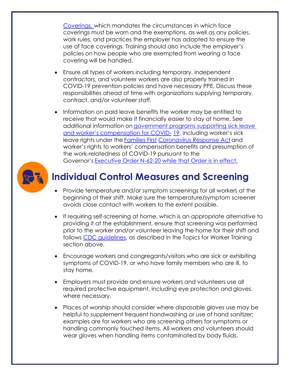[Coverings,](https://www.cdph.ca.gov/Programs/CID/DCDC/CDPH%20Document%20Library/COVID-19/Guidance-for-Face-Coverings_06-18-2020.pdf) which mandates the circumstances in which face coverings must be worn and the exemptions, as well as any policies, work rules, and practices the employer has adopted to ensure the use of face coverings. Training should also include the employer's policies on how people who are exempted from wearing a face covering will be handled.

- Ensure all types of workers including temporary, independent contractors, and volunteer workers are also properly trained in COVID-19 prevention policies and have necessary PPE. Discuss these responsibilities ahead of time with organizations supplying temporary, contract, and/or volunteer staff.
- Information on paid leave benefits the worker may be entitled to receive that would make it financially easier to stay at home. See additional information on [government](https://www.labor.ca.gov/coronavirus2019/#chart) [programs supporting sick leave](https://www.labor.ca.gov/coronavirus2019/#chart)  [and worker's compensation for COVID](https://www.labor.ca.gov/coronavirus2019/#chart)- [19,](https://www.labor.ca.gov/coronavirus2019/#chart) including worker's sick leave rights under the [Families First](https://www.dol.gov/agencies/whd/pandemic/ffcra-employee-paid-leave) [Coronavirus Response Act](https://www.dol.gov/agencies/whd/pandemic/ffcra-employee-paid-leave) and worker's rights to workers' compensation benefits and presumption of the work-relatedness of COVID-19 pursuant to the Governor's [Executive Order N-62-20](https://www.gov.ca.gov/wp-content/uploads/2020/05/5.6.20-EO-N-62-20-text.pdf) while that Order is in effect.



# **Individual Control Measures and Screening**

- Provide temperature and/or symptom screenings for all workers at the beginning of their shift. Make sure the temperature/symptom screener avoids close contact with workers to the extent possible.
- If requiring self-screening at home, which is an appropriate alternative to providing it at the establishment, ensure that screening was performed prior to the worker and/or volunteer leaving the home for their shift and follows [CDC guidelines,](https://nam04.safelinks.protection.outlook.com/?url=https%3A%2F%2Fwww.cdc.gov%2Fcoronavirus%2F2019-ncov%2Fsymptoms-testing%2Fsymptoms.html&data=02%7C01%7C%7C0e663c4f0cba4038919508d7f530e0d9%7C56b731a8a2ac4c32bf6b616810e913c6%7C1%7C0%7C637247462597521114&sdata=%2BFs3zTA%2BLulYN7LUIa%2F%2F41%2BfiWhX7yKYbv9ci6ognOw%3D&reserved=0) as described in the Topics for Worker Training section above.
- Encourage workers and congregants/visitors who are sick or exhibiting symptoms of COVID-19, or who have family members who are ill, to stay home.
- Employers must provide and ensure workers and volunteers use all required protective equipment, including eye protection and gloves, where necessary.
- Places of worship should consider where disposable gloves use may be helpful to supplement frequent handwashing or use of hand sanitizer; examples are for workers who are screening others for symptoms or handling commonly touched items. All workers and volunteers should wear gloves when handling items contaminated by body fluids.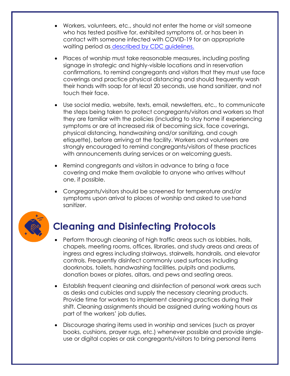- Workers, volunteers, etc., should not enter the home or visit someone who has tested positive for, exhibited symptoms of, or has been in contact with someone infected with COVID-19 for an appropriate waiting period as [described by CDC](https://www.cdc.gov/coronavirus/2019-ncov/if-you-are-sick/quarantine-isolation.html) guidelines.
- Places of worship must take reasonable measures, including posting signage in strategic and highly-visible locations and in reservation confirmations, to remind congregants and visitors that they must use face coverings and practice physical distancing and should frequently wash their hands with soap for at least 20 seconds, use hand sanitizer, and not touch their face.
- Use social media, website, texts, email, newsletters, etc., to communicate the steps being taken to protect congregants/visitors and workers so that they are familiar with the policies (including to stay home if experiencing symptoms or are at increased risk of becoming sick, face coverings, physical distancing, handwashing and/or sanitizing, and cough etiquette), before arriving at the facility. Workers and volunteers are strongly encouraged to remind congregants/visitors of these practices with announcements during services or on welcoming guests.
- Remind congregants and visitors in advance to bring a face covering and make them available to anyone who arrives without one, if possible.
- Congregants/visitors should be screened for temperature and/or symptoms upon arrival to places of worship and asked to use hand sanitizer.



# **Cleaning and Disinfecting Protocols**

- Perform thorough cleaning of high traffic areas such as lobbies, halls, chapels, meeting rooms, offices, libraries, and study areas and areas of ingress and egress including stairways, stairwells, handrails, and elevator controls. Frequently disinfect commonly used surfaces including doorknobs, toilets, handwashing facilities, pulpits and podiums, donation boxes or plates, altars, and pews and seating areas.
- Establish frequent cleaning and disinfection of personal work areas such as desks and cubicles and supply the necessary cleaning products. Provide time for workers to implement cleaning practices during their shift. Cleaning assignments should be assigned during working hours as part of the workers' job duties.
- Discourage sharing items used in worship and services (such as prayer books, cushions, prayer rugs, etc.) whenever possible and provide singleuse or digital copies or ask congregants/visitors to bring personal items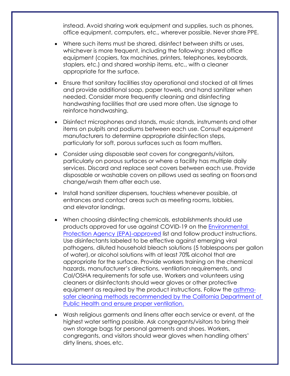instead. Avoid sharing work equipment and supplies, such as phones, office equipment, computers, etc., wherever possible. Never share PPE.

- Where such items must be shared, disinfect between shifts or uses, whichever is more frequent, including the following: shared office equipment (copiers, fax machines, printers, telephones, keyboards, staplers, etc.) and shared worship items, etc., with a cleaner appropriate for the surface.
- Ensure that sanitary facilities stay operational and stocked at all times and provide additional soap, paper towels, and hand sanitizer when needed. Consider more frequently cleaning and disinfecting handwashing facilities that are used more often. Use signage to reinforce handwashing.
- Disinfect microphones and stands, music stands, instruments and other items on pulpits and podiums between each use. Consult equipment manufacturers to determine appropriate disinfection steps, particularly for soft, porous surfaces such as foam mufflers.
- Consider using disposable seat covers for congregants/visitors, particularly on porous surfaces or where a facility has multiple daily services. Discard and replace seat covers between each use. Provide disposable or washable covers on pillows used as seating on floorsand change/wash them after each use.
- Install hand sanitizer dispensers, touchless whenever possible, at entrances and contact areas such as meeting rooms, lobbies, and elevator landings.
- When choosing disinfecting chemicals, establishments should use products approved for use against COVID-19 on the [Environmental](https://www.epa.gov/pesticide-registration/list-n-disinfectants-use-against-sars-cov-2)  [Protection](https://www.epa.gov/pesticide-registration/list-n-disinfectants-use-against-sars-cov-2) [Agency \(EPA\)-approved](https://www.epa.gov/pesticide-registration/list-n-disinfectants-use-against-sars-cov-2) list and follow product instructions. Use disinfectants labeled to be effective against emerging viral pathogens, diluted household bleach solutions (5 tablespoons per gallon of water),or alcohol solutions with at least 70% alcohol that are appropriate for the surface. Provide workers training on the chemical hazards, manufacturer's directions, ventilation requirements, and Cal/OSHA requirements for safe use. Workers and volunteers using cleaners or disinfectants should wear gloves or other protective equipment as required by the product instructions. Follow the [asthma](https://www.cdph.ca.gov/Programs/CCDPHP/DEODC/OHB/Pages/OHWMay2020.aspx)[safer cleaning methods](https://www.cdph.ca.gov/Programs/CCDPHP/DEODC/OHB/Pages/OHWMay2020.aspx) recommended by the California Department of Public Health and ensure proper ventilation.
- Wash religious garments and linens after each service or event, at the highest water setting possible. Ask congregants/visitors to bring their own storage bags for personal garments and shoes. Workers, congregants, and visitors should wear gloves when handling others' dirty linens, shoes,etc.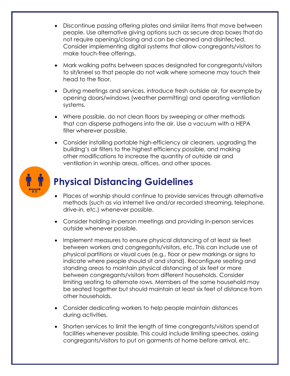- Discontinue passing offering plates and similar items that move between people. Use alternative giving options such as secure drop boxes thatdo not require opening/closing and can be cleaned and disinfected. Consider implementing digital systems that allow congregants/visitors to make touch-free offerings.
- Mark walking paths between spaces designated forcongregants/visitors to sit/kneel so that people do not walk where someone may touch their head to the floor.
- During meetings and services, introduce fresh outside air, for example by opening doors/windows (weather permitting) and operating ventilation systems.
- Where possible, do not clean floors by sweeping or other methods that can disperse pathogens into the air. Use a vacuum with a HEPA filter wherever possible.
- Consider installing portable high-efficiency air cleaners, upgrading the building's air filters to the highest efficiency possible, and making other modifications to increase the quantity of outside air and ventilation in worship areas, offices, and other spaces.



# **Physical Distancing Guidelines**

- Places of worship should continue to provide services through alternative methods (such as via internet live and/or recorded streaming, telephone, drive-in, etc.) whenever possible.
- Consider holding in-person meetings and providing in-person services outside whenever possible.
- Implement measures to ensure physical distancing of at least six feet between workers and congregants/visitors, etc. This can include use of physical partitions or visual cues (e.g., floor or pew markings or signs to indicate where people should sit and stand). Reconfigure seating and standing areas to maintain physical distancing of six feet or more between congregants/visitors from different households. Consider limiting seating to alternate rows. Members of the same household may be seated together but should maintain at least six feet of distance from other households.
- Consider dedicating workers to help people maintain distances during activities.
- Shorten services to limit the length of time congregants/visitors spendat facilities whenever possible. This could include limiting speeches, asking congregants/visitors to put on garments at home before arrival, etc.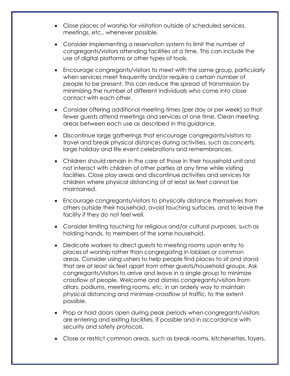- Close places of worship for visitation outside of scheduled services, meetings, etc., whenever possible.
- Consider implementing a reservation system to limit the number of congregants/visitors attending facilities at a time. This can include the use of digital platforms or other types of tools.
- Encourage congregants/visitors to meet with the same group, particularly when services meet frequently and/or require a certain number of people to be present. This can reduce the spread of transmission by minimizing the number of different individuals who come into close contact with each other.
- Consider offering additional meeting times (per day or per week) so that fewer guests attend meetings and services at one time. Clean meeting areas between each use as described in this guidance.
- Discontinue large gatherings that encourage congregants/visitors to travel and break physical distances during activities, such asconcerts, large holiday and life event celebrations and remembrances.
- Children should remain in the care of those in their household unit and not interact with children of other parties at any time while visiting facilities. Close play areas and discontinue activities and services for children where physical distancing of at least six feet cannot be maintained.
- Encourage congregants/visitors to physically distance themselves from others outside their household, avoid touching surfaces, and to leave the facility if they do not feel well.
- Consider limiting touching for religious and/or cultural purposes, such as holding hands, to members of the same household.
- Dedicate workers to direct guests to meeting rooms upon entry to places of worship rather than congregating in lobbies or common areas. Consider using ushers to help people find places to sit and stand that are at least six feet apart from other guests/household groups. Ask congregants/visitors to arrive and leave in a single group to minimize crossflow of people. Welcome and dismiss congregants/visitors from altars, podiums, meeting rooms, etc. in an orderly way to maintain physical distancing and minimize crossflow of traffic, to the extent possible.
- Prop or hold doors open during peak periods when congregants/visitors are entering and exiting facilities, if possible and in accordance with security and safety protocols.
- Close or restrict common areas, such as break rooms, kitchenettes, foyers,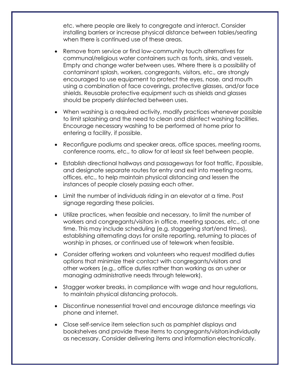etc. where people are likely to congregate and interact. Consider installing barriers or increase physical distance between tables/seating when there is continued use of these areas.

- Remove from service or find low-community touch alternatives for communal/religious water containers such as fonts, sinks, and vessels. Empty and change water between uses. Where there is a possibility of contaminant splash, workers, congregants, visitors, etc., are strongly encouraged to use equipment to protect the eyes, nose, and mouth using a combination of face coverings, protective glasses, and/or face shields. Reusable protective equipment such as shields and glasses should be properly disinfected between uses.
- When washing is a required activity, modify practices whenever possible to limit splashing and the need to clean and disinfect washing facilities. Encourage necessary washing to be performed at home prior to entering a facility, if possible.
- Reconfigure podiums and speaker areas, office spaces, meeting rooms, conference rooms, etc., to allow for at least six feet between people.
- Establish directional hallways and passageways for foot traffic, if possible, and designate separate routes for entry and exit into meeting rooms, offices, etc., to help maintain physical distancing and lessen the instances of people closely passing each other.
- Limit the number of individuals riding in an elevator at a time. Post signage regarding these policies.
- Utilize practices, when feasible and necessary, to limit the number of workers and congregants/visitors in office, meeting spaces, etc., at one time. This may include scheduling (e.g. staggering start/end times), establishing alternating days for onsite reporting, returning to places of worship in phases, or continued use of telework when feasible.
- Consider offering workers and volunteers who request modified duties options that minimize their contact with congregants/visitors and other workers (e.g., office duties rather than working as an usher or managing administrative needs through telework).
- Stagger worker breaks, in compliance with wage and hour regulations, to maintain physical distancing protocols.
- Discontinue nonessential travel and encourage distance meetings via phone and internet.
- Close self-service item selection such as pamphlet displays and bookshelves and provide these items to congregants/visitorsindividually as necessary. Consider delivering items and information electronically.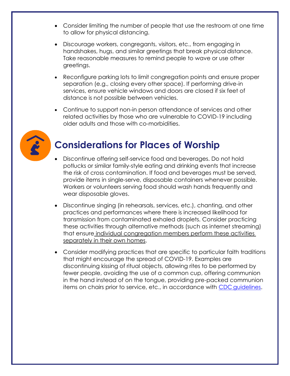- Consider limiting the number of people that use the restroom at one time to allow for physical distancing.
- Discourage workers, congregants, visitors, etc., from engaging in handshakes, hugs, and similar greetings that break physical distance. Take reasonable measures to remind people to wave or use other greetings.
- Reconfigure parking lots to limit congregation points and ensure proper separation (e.g., closing every other space). If performing drive-in services, ensure vehicle windows and doors are closed if six feet of distance is not possible between vehicles.
- Continue to support non-in person attendance of services and other related activities by those who are vulnerable to COVID-19 including older adults and those with co-morbidities.



# **Considerations for Places of Worship**

- Discontinue offering self-service food and beverages. Do not hold potlucks or similar family-style eating and drinking events that increase the risk of cross contamination. If food and beverages must be served, provide items in single-serve, disposable containers whenever possible. Workers or volunteers serving food should wash hands frequently and wear disposable gloves.
- Discontinue singing (in rehearsals, services, etc.), chanting, and other practices and performances where there is increased likelihood for transmission from contaminated exhaled droplets. Consider practicing these activities through alternative methods (such as internet streaming) that ensure individual congregation members perform these activities separately in their own homes.
- Consider modifying practices that are specific to particular faith traditions that might encourage the spread of COVID-19. Examples are discontinuing kissing of ritual objects, allowing rites to be performed by fewer people, avoiding the use of a common cup, offering communion in the hand instead of on the tongue, providing pre-packed communion items on chairs prior to service, etc., in accordance with CDC [guidelines.](https://www.cdc.gov/coronavirus/2019-ncov/community/organizations/guidance-community-faith-organizations.html)